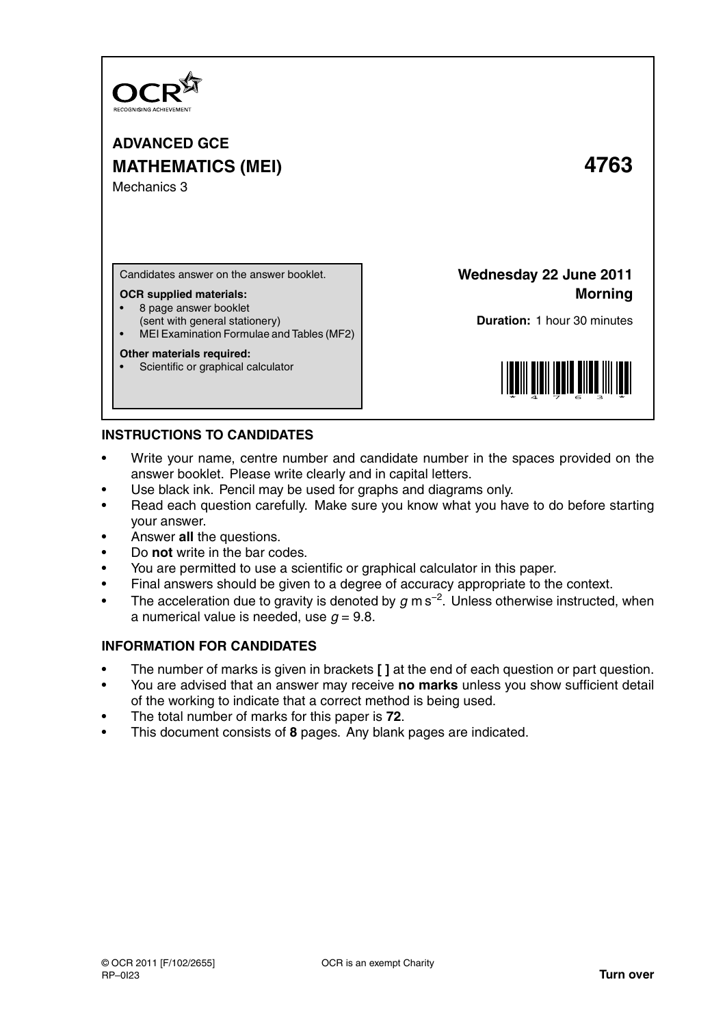

**ADVANCED GCE MATHEMATICS (MEI) 4763** Mechanics 3

Candidates answer on the answer booklet.

### **OCR supplied materials:**

- 8 page answer booklet
- (sent with general stationery)
- MEI Examination Formulae and Tables (MF2)

### **Other materials required:**

Scientific or graphical calculator

**Wednesday 22 June 2011 Morning**

**Duration:** 1 hour 30 minutes



## **INSTRUCTIONS TO CANDIDATES**

- Write your name, centre number and candidate number in the spaces provided on the answer booklet. Please write clearly and in capital letters.
- Use black ink. Pencil may be used for graphs and diagrams only.
- Read each question carefully. Make sure you know what you have to do before starting your answer.
- Answer **all** the questions.
- Do **not** write in the bar codes.
- You are permitted to use a scientific or graphical calculator in this paper.
- Final answers should be given to a degree of accuracy appropriate to the context.
- The acceleration due to gravity is denoted by  $g$  m s<sup>-2</sup>. Unless otherwise instructed, when a numerical value is needed, use  $q = 9.8$ .

## **INFORMATION FOR CANDIDATES**

- The number of marks is given in brackets **[ ]** at the end of each question or part question.
- You are advised that an answer may receive **no marks** unless you show sufficient detail of the working to indicate that a correct method is being used.
- The total number of marks for this paper is **72**.
- This document consists of **8** pages. Any blank pages are indicated.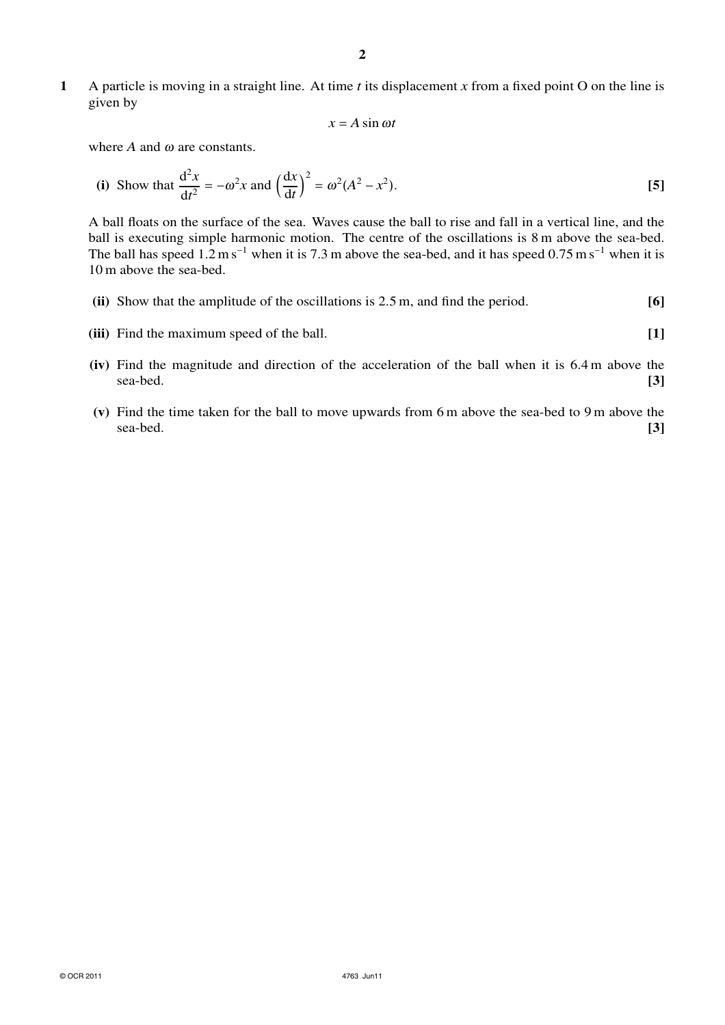**1** A particle is moving in a straight line. At time *t* its displacement *x* from a fixed point O on the line is given by

 $x = A \sin \omega t$ 

where *A* and <sup>ω</sup> are constants.

(i) Show that 
$$
\frac{d^2x}{dt^2} = -\omega^2 x
$$
 and 
$$
\left(\frac{dx}{dt}\right)^2 = \omega^2 (A^2 - x^2).
$$
 [5]

A ball floats on the surface of the sea. Waves cause the ball to rise and fall in a vertical line, and the ball is executing simple harmonic motion. The centre of the oscillations is 8 m above the sea-bed. The ball has speed  $1.2 \text{ m s}^{-1}$  when it is 7.3 m above the sea-bed, and it has speed 0.75 m s<sup>−1</sup> when it is 10 m above the sea-bed.

- **(ii)** Show that the amplitude of the oscillations is 2.5 m, and find the period. **[6]**
- **(iii)** Find the maximum speed of the ball. **[1]**
- **(iv)** Find the magnitude and direction of the acceleration of the ball when it is 6.4 m above the sea-bed. **[3]**
- **(v)** Find the time taken for the ball to move upwards from 6 m above the sea-bed to 9 m above the sea-bed. **[3]**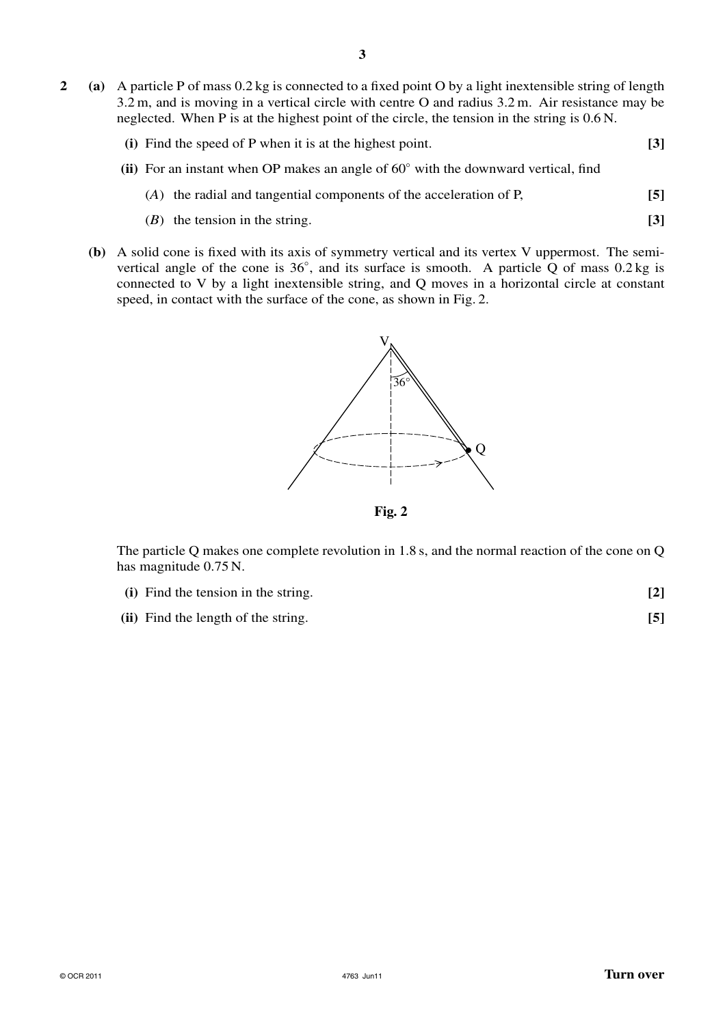**2 (a)** A particle P of mass 0.2 kg is connected to a fixed point O by a light inextensible string of length 3.2 m, and is moving in a vertical circle with centre O and radius 3.2 m. Air resistance may be neglected. When P is at the highest point of the circle, the tension in the string is 0.6 N.

| (i) Find the speed of P when it is at the highest point. | $[3]$ |
|----------------------------------------------------------|-------|
|                                                          |       |

- **(ii)** For an instant when OP makes an angle of 60◦ with the downward vertical, find
	- (*A*) the radial and tangential components of the acceleration of P, **[5]**
	- (*B*) the tension in the string. **[3]**
- **(b)** A solid cone is fixed with its axis of symmetry vertical and its vertex V uppermost. The semivertical angle of the cone is  $36^\circ$ , and its surface is smooth. A particle Q of mass  $0.2 \text{ kg}$  is connected to V by a light inextensible string, and Q moves in a horizontal circle at constant speed, in contact with the surface of the cone, as shown in Fig. 2.



**Fig. 2**

The particle Q makes one complete revolution in 1.8 s, and the normal reaction of the cone on Q has magnitude 0.75 N.

- **(i)** Find the tension in the string. **[2]**
- **(ii)** Find the length of the string. **[5]**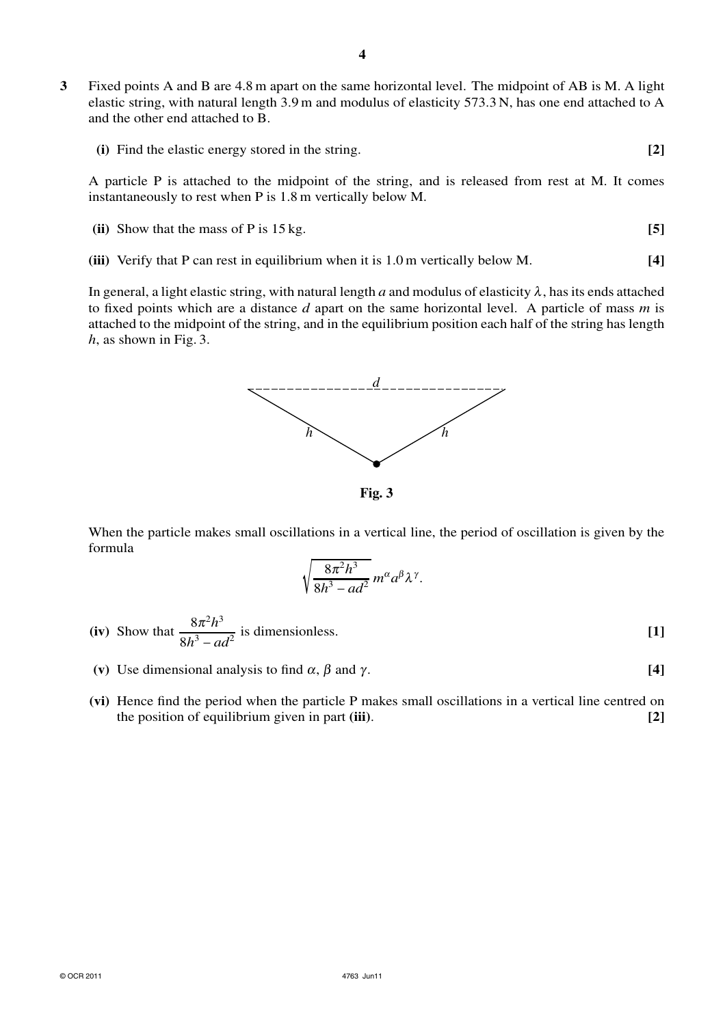- **3** Fixed points A and B are 4.8 m apart on the same horizontal level. The midpoint of AB is M. A light elastic string, with natural length 3.9 m and modulus of elasticity 573.3 N, has one end attached to A and the other end attached to B.
	- **(i)** Find the elastic energy stored in the string. **[2]**

A particle P is attached to the midpoint of the string, and is released from rest at M. It comes instantaneously to rest when P is 1.8 m vertically below M.

- **(ii)** Show that the mass of P is 15 kg. **[5]**
- **(iii)** Verify that P can rest in equilibrium when it is 1.0 m vertically below M. **[4]**

In general, a light elastic string, with natural length *a* and modulus of elasticity  $\lambda$ , has its ends attached to fixed points which are a distance *d* apart on the same horizontal level. A particle of mass *m* is attached to the midpoint of the string, and in the equilibrium position each half of the string has length *h*, as shown in Fig. 3.



**Fig. 3**

When the particle makes small oscillations in a vertical line, the period of oscillation is given by the formula

$$
\sqrt{\frac{8\pi^2h^3}{8h^3-ad^2}}\,m^{\alpha}a^{\beta}\lambda^{\gamma}.
$$

(iv) Show that 
$$
\frac{8\pi^2 h^3}{8h^3 - ad^2}
$$
 is dimensionless. [1]

- (v) Use dimensional analysis to find  $\alpha$ ,  $\beta$  and  $\gamma$ . **[4]** [4]
- **(vi)** Hence find the period when the particle P makes small oscillations in a vertical line centred on the position of equilibrium given in part **(iii)**. **[2]**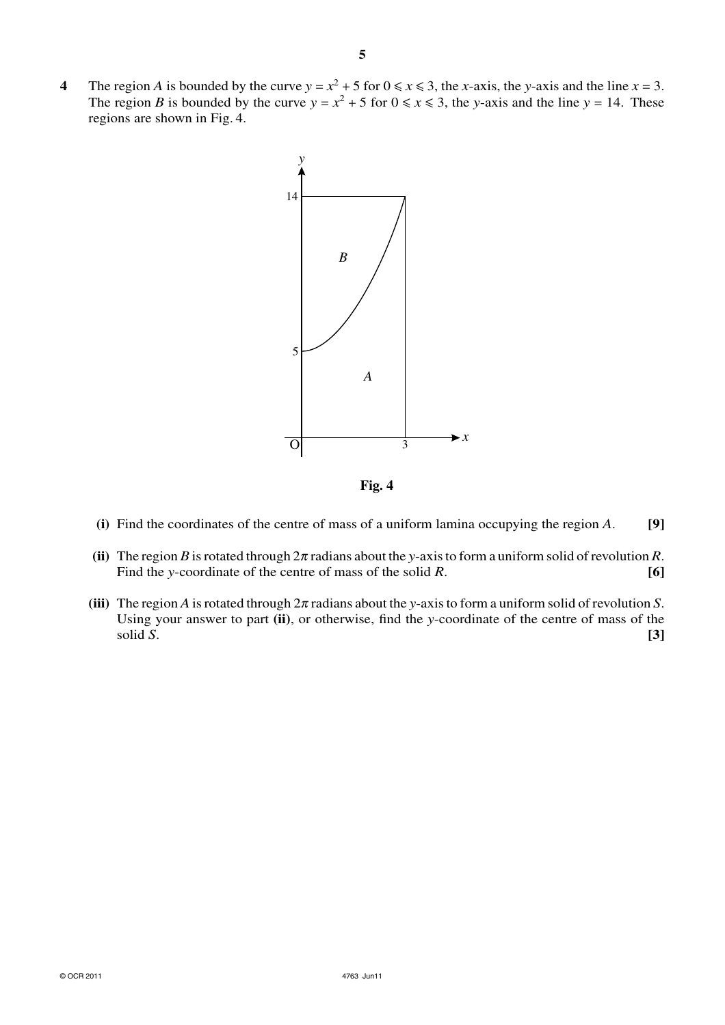**4** The region *A* is bounded by the curve  $y = x^2 + 5$  for  $0 \le x \le 3$ , the *x*-axis, the *y*-axis and the line  $x = 3$ . The region *B* is bounded by the curve  $y = x^2 + 5$  for  $0 \le x \le 3$ , the *y*-axis and the line  $y = 14$ . These regions are shown in Fig. 4.



**Fig. 4**

- **(i)** Find the coordinates of the centre of mass of a uniform lamina occupying the region *A*. **[9]**
- (ii) The region *B* is rotated through  $2\pi$  radians about the *y*-axis to form a uniform solid of revolution *R*. Find the *y*-coordinate of the centre of mass of the solid *R*. **[6]**
- (iii) The region *A* is rotated through  $2\pi$  radians about the *y*-axis to form a uniform solid of revolution *S*. Using your answer to part (ii), or otherwise, find the *y*-coordinate of the centre of mass of the solid S. solid  $S$ .  $[3]$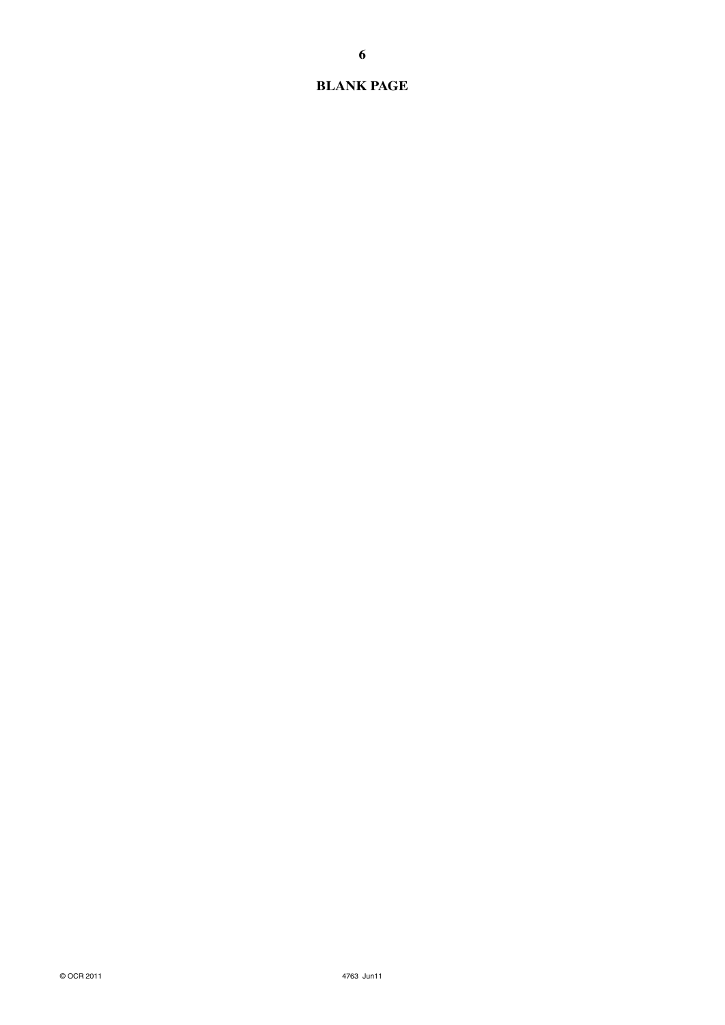# **BLANK PAGE**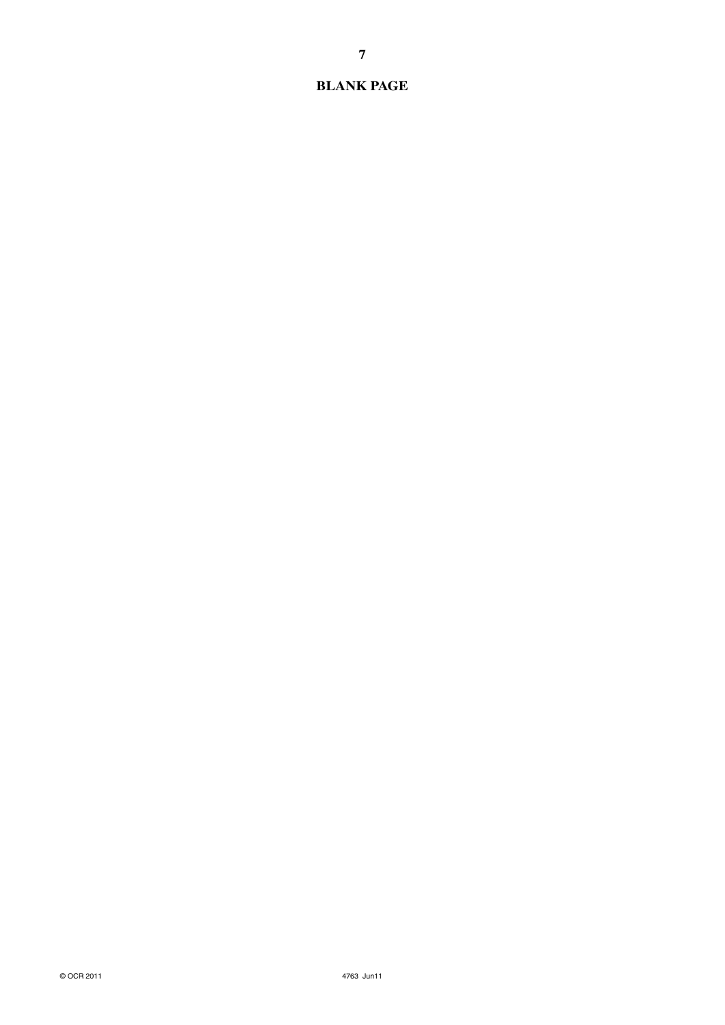# **BLANK PAGE**